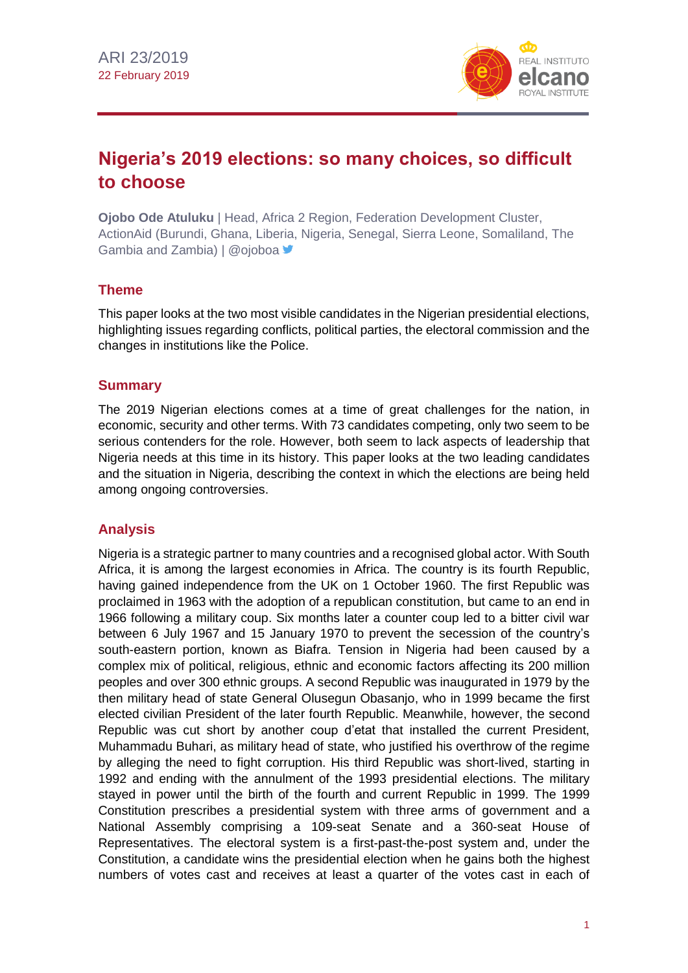

# **Nigeria's 2019 elections: so many choices, so difficult to choose**

**Ojobo Ode Atuluku** | Head, Africa 2 Region, Federation Development Cluster, ActionAid (Burundi, Ghana, Liberia, Nigeria, Senegal, Sierra Leone, Somaliland, The Gambia and Zambia) | @ojoboa

## **Theme**

This paper looks at the two most visible candidates in the Nigerian presidential elections, highlighting issues regarding conflicts, political parties, the electoral commission and the changes in institutions like the Police.

## **Summary**

The 2019 Nigerian elections comes at a time of great challenges for the nation, in economic, security and other terms. With 73 candidates competing, only two seem to be serious contenders for the role. However, both seem to lack aspects of leadership that Nigeria needs at this time in its history. This paper looks at the two leading candidates and the situation in Nigeria, describing the context in which the elections are being held among ongoing controversies.

## **Analysis**

Nigeria is a strategic partner to many countries and a recognised global actor. With South Africa, it is among the largest economies in Africa. The country is its fourth Republic, having gained independence from the UK on 1 October 1960. The first Republic was proclaimed in 1963 with the adoption of a republican constitution, but came to an end in 1966 following a military coup. Six months later a counter coup led to a bitter civil war between 6 July 1967 and 15 January 1970 to prevent the secession of the country's south-eastern portion, known as Biafra. Tension in Nigeria had been caused by a complex mix of political, religious, ethnic and economic factors affecting its 200 million peoples and over 300 ethnic groups. A second Republic was inaugurated in 1979 by the then military head of state General Olusegun Obasanjo, who in 1999 became the first elected civilian President of the later fourth Republic. Meanwhile, however, the second Republic was cut short by another coup d'etat that installed the current President, Muhammadu Buhari, as military head of state, who justified his overthrow of the regime by alleging the need to fight corruption. His third Republic was short-lived, starting in 1992 and ending with the annulment of the 1993 presidential elections. The military stayed in power until the birth of the fourth and current Republic in 1999. The 1999 Constitution prescribes a presidential system with three arms of government and a National Assembly comprising a 109-seat Senate and a 360-seat House of Representatives. The electoral system is a first-past-the-post system and, under the Constitution, a candidate wins the presidential election when he gains both the highest numbers of votes cast and receives at least a quarter of the votes cast in each of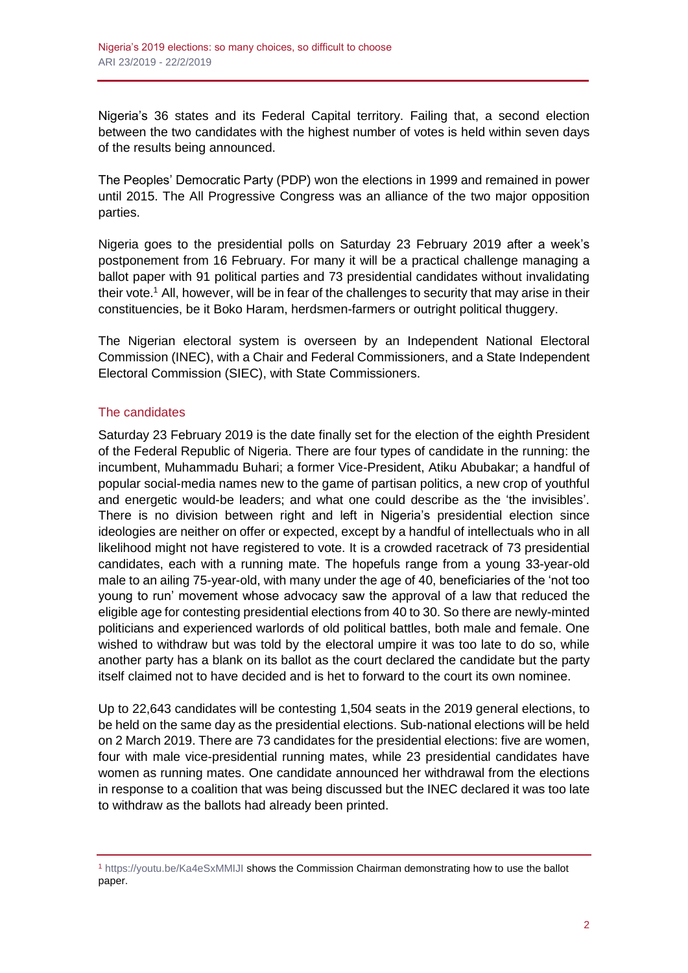Nigeria's 36 states and its Federal Capital territory. Failing that, a second election between the two candidates with the highest number of votes is held within seven days of the results being announced.

The Peoples' Democratic Party (PDP) won the elections in 1999 and remained in power until 2015. The All Progressive Congress was an alliance of the two major opposition parties.

Nigeria goes to the presidential polls on Saturday 23 February 2019 after a week's postponement from 16 February. For many it will be a practical challenge managing a ballot paper with 91 political parties and 73 presidential candidates without invalidating their vote.<sup>1</sup> All, however, will be in fear of the challenges to security that may arise in their constituencies, be it Boko Haram, herdsmen-farmers or outright political thuggery.

The Nigerian electoral system is overseen by an Independent National Electoral Commission (INEC), with a Chair and Federal Commissioners, and a State Independent Electoral Commission (SIEC), with State Commissioners.

## The candidates

Saturday 23 February 2019 is the date finally set for the election of the eighth President of the Federal Republic of Nigeria. There are four types of candidate in the running: the incumbent, Muhammadu Buhari; a former Vice-President, Atiku Abubakar; a handful of popular social-media names new to the game of partisan politics, a new crop of youthful and energetic would-be leaders; and what one could describe as the 'the invisibles'. There is no division between right and left in Nigeria's presidential election since ideologies are neither on offer or expected, except by a handful of intellectuals who in all likelihood might not have registered to vote. It is a crowded racetrack of 73 presidential candidates, each with a running mate. The hopefuls range from a young 33-year-old male to an ailing 75-year-old, with many under the age of 40, beneficiaries of the 'not too young to run' movement whose advocacy saw the approval of a law that reduced the eligible age for contesting presidential elections from 40 to 30. So there are newly-minted politicians and experienced warlords of old political battles, both male and female. One wished to withdraw but was told by the electoral umpire it was too late to do so, while another party has a blank on its ballot as the court declared the candidate but the party itself claimed not to have decided and is het to forward to the court its own nominee.

Up to 22,643 candidates will be contesting 1,504 seats in the 2019 general elections, to be held on the same day as the presidential elections. Sub-national elections will be held on 2 March 2019. There are 73 candidates for the presidential elections: five are women, four with male vice-presidential running mates, while 23 presidential candidates have women as running mates. One candidate announced her withdrawal from the elections in response to a coalition that was being discussed but the INEC declared it was too late to withdraw as the ballots had already been printed.

<sup>1</sup> <https://youtu.be/Ka4eSxMMIJI> shows the Commission Chairman demonstrating how to use the ballot paper.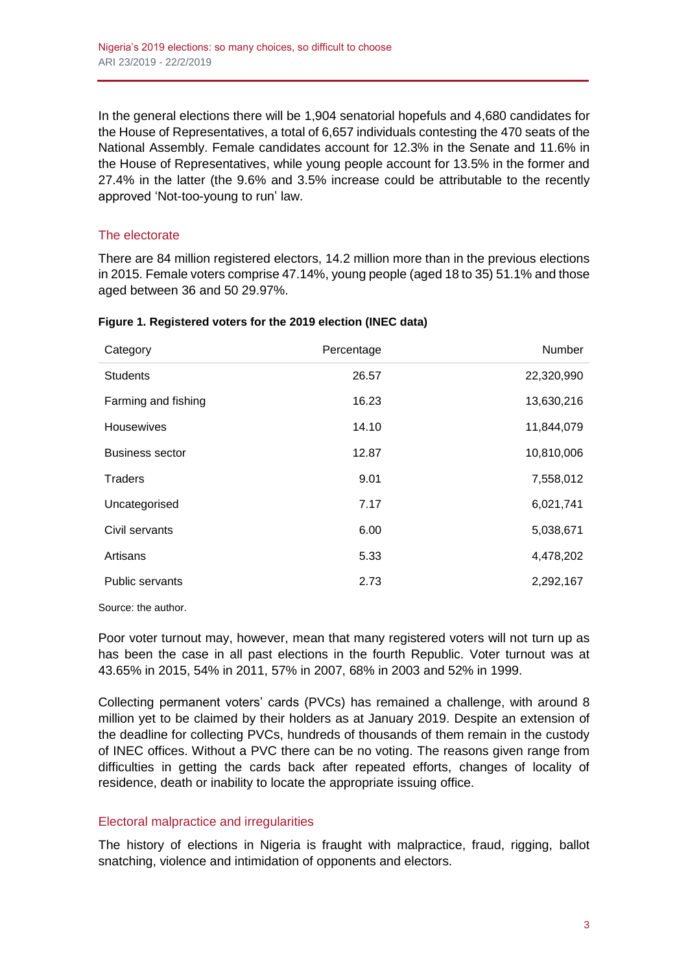In the general elections there will be 1,904 senatorial hopefuls and 4,680 candidates for the House of Representatives, a total of 6,657 individuals contesting the 470 seats of the National Assembly. Female candidates account for 12.3% in the Senate and 11.6% in the House of Representatives, while young people account for 13.5% in the former and 27.4% in the latter (the 9.6% and 3.5% increase could be attributable to the recently approved 'Not-too-young to run' law.

## The electorate

There are 84 million registered electors, 14.2 million more than in the previous elections in 2015. Female voters comprise 47.14%, young people (aged 18 to 35) 51.1% and those aged between 36 and 50 29.97%.

| Category               | Percentage | Number     |
|------------------------|------------|------------|
| <b>Students</b>        | 26.57      | 22,320,990 |
| Farming and fishing    | 16.23      | 13,630,216 |
| Housewives             | 14.10      | 11,844,079 |
| <b>Business sector</b> | 12.87      | 10,810,006 |
| <b>Traders</b>         | 9.01       | 7,558,012  |
| Uncategorised          | 7.17       | 6,021,741  |
| Civil servants         | 6.00       | 5,038,671  |
| Artisans               | 5.33       | 4,478,202  |
| <b>Public servants</b> | 2.73       | 2,292,167  |

#### **Figure 1. Registered voters for the 2019 election (INEC data)**

Source: the author.

Poor voter turnout may, however, mean that many registered voters will not turn up as has been the case in all past elections in the fourth Republic. Voter turnout was at 43.65% in 2015, 54% in 2011, 57% in 2007, 68% in 2003 and 52% in 1999.

Collecting permanent voters' cards (PVCs) has remained a challenge, with around 8 million yet to be claimed by their holders as at January 2019. Despite an extension of the deadline for collecting PVCs, hundreds of thousands of them remain in the custody of INEC offices. Without a PVC there can be no voting. The reasons given range from difficulties in getting the cards back after repeated efforts, changes of locality of residence, death or inability to locate the appropriate issuing office.

### Electoral malpractice and irregularities

The history of elections in Nigeria is fraught with malpractice, fraud, rigging, ballot snatching, violence and intimidation of opponents and electors.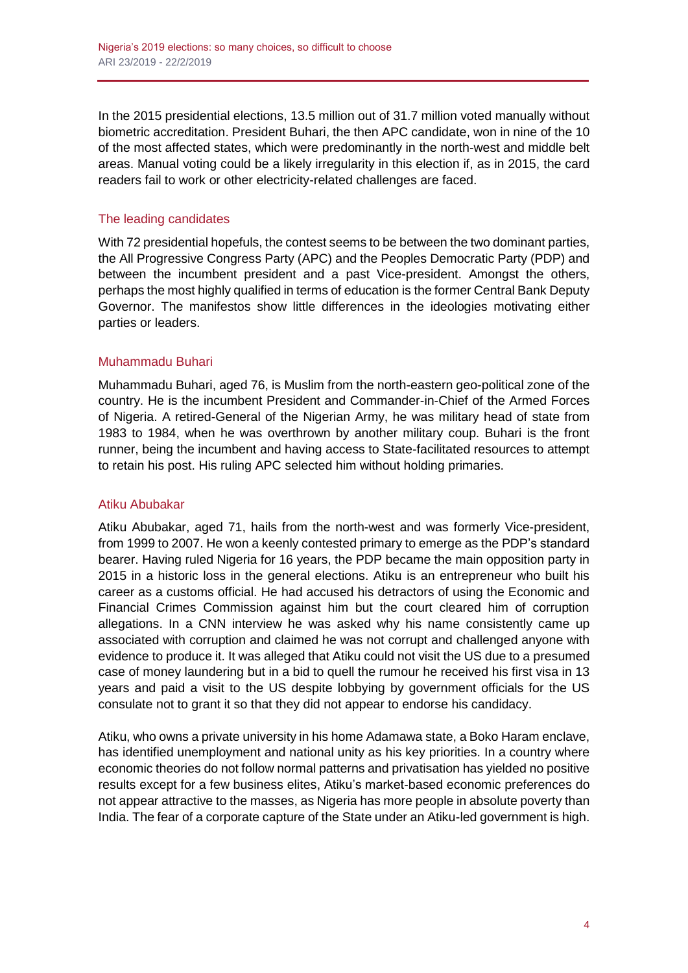In the 2015 presidential elections, 13.5 million out of 31.7 million voted manually without biometric accreditation. President Buhari, the then APC candidate, won in nine of the 10 of the most affected states, which were predominantly in the north-west and middle belt areas. Manual voting could be a likely irregularity in this election if, as in 2015, the card readers fail to work or other electricity-related challenges are faced.

## The leading candidates

With 72 presidential hopefuls, the contest seems to be between the two dominant parties, the All Progressive Congress Party (APC) and the Peoples Democratic Party (PDP) and between the incumbent president and a past Vice-president. Amongst the others, perhaps the most highly qualified in terms of education is the former Central Bank Deputy Governor. The manifestos show little differences in the ideologies motivating either parties or leaders.

## Muhammadu Buhari

Muhammadu Buhari, aged 76, is Muslim from the north-eastern geo-political zone of the country. He is the incumbent President and Commander-in-Chief of the Armed Forces of Nigeria. A retired-General of the Nigerian Army, he was military head of state from 1983 to 1984, when he was overthrown by another military coup. Buhari is the front runner, being the incumbent and having access to State-facilitated resources to attempt to retain his post. His ruling APC selected him without holding primaries.

### Atiku Abubakar

Atiku Abubakar, aged 71, hails from the north-west and was formerly Vice-president, from 1999 to 2007. He won a keenly contested primary to emerge as the PDP's standard bearer. Having ruled Nigeria for 16 years, the PDP became the main opposition party in 2015 in a historic loss in the general elections. Atiku is an entrepreneur who built his career as a customs official. He had accused his detractors of using the Economic and Financial Crimes Commission against him but the court cleared him of corruption allegations. In a CNN interview he was asked why his name consistently came up associated with corruption and claimed he was not corrupt and challenged anyone with evidence to produce it. It was alleged that Atiku could not visit the US due to a presumed case of money laundering but in a bid to quell the rumour he received his first visa in 13 years and paid a visit to the US despite lobbying by government officials for the US consulate not to grant it so that they did not appear to endorse his candidacy.

Atiku, who owns a private university in his home Adamawa state, a Boko Haram enclave, has identified unemployment and national unity as his key priorities. In a country where economic theories do not follow normal patterns and privatisation has yielded no positive results except for a few business elites, Atiku's market-based economic preferences do not appear attractive to the masses, as Nigeria has more people in absolute poverty than India. The fear of a corporate capture of the State under an Atiku-led government is high.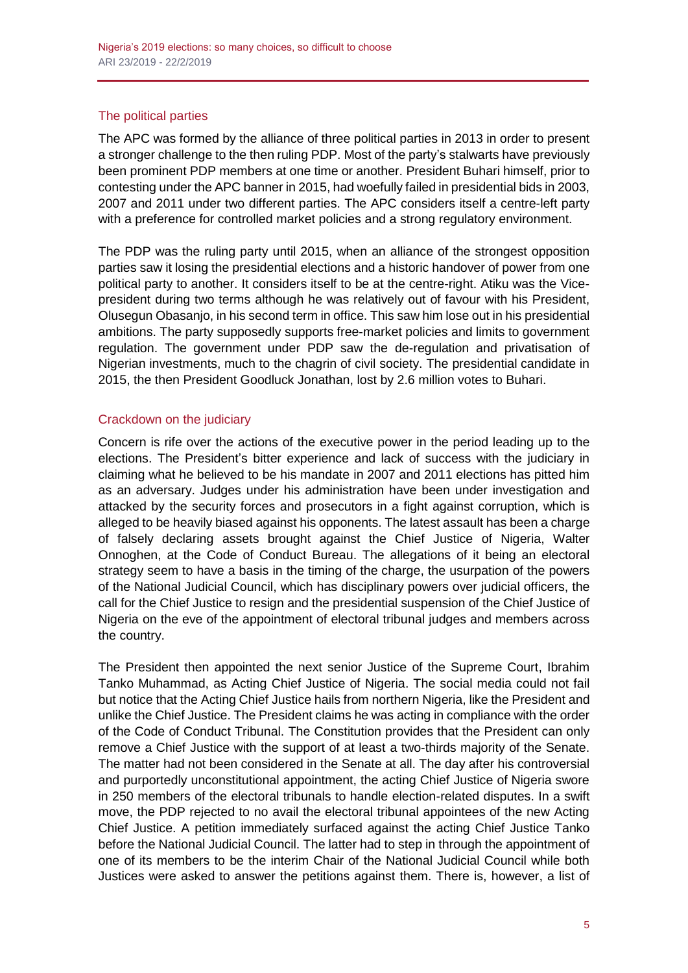## The political parties

The APC was formed by the alliance of three political parties in 2013 in order to present a stronger challenge to the then ruling PDP. Most of the party's stalwarts have previously been prominent PDP members at one time or another. President Buhari himself, prior to contesting under the APC banner in 2015, had woefully failed in presidential bids in 2003, 2007 and 2011 under two different parties. The APC considers itself a centre-left party with a preference for controlled market policies and a strong regulatory environment.

The PDP was the ruling party until 2015, when an alliance of the strongest opposition parties saw it losing the presidential elections and a historic handover of power from one political party to another. It considers itself to be at the centre-right. Atiku was the Vicepresident during two terms although he was relatively out of favour with his President, Olusegun Obasanjo, in his second term in office. This saw him lose out in his presidential ambitions. The party supposedly supports free-market policies and limits to government regulation. The government under PDP saw the de-regulation and privatisation of Nigerian investments, much to the chagrin of civil society. The presidential candidate in 2015, the then President Goodluck Jonathan, lost by 2.6 million votes to Buhari.

## Crackdown on the judiciary

Concern is rife over the actions of the executive power in the period leading up to the elections. The President's bitter experience and lack of success with the judiciary in claiming what he believed to be his mandate in 2007 and 2011 elections has pitted him as an adversary. Judges under his administration have been under investigation and attacked by the security forces and prosecutors in a fight against corruption, which is alleged to be heavily biased against his opponents. The latest assault has been a charge of falsely declaring assets brought against the Chief Justice of Nigeria, Walter Onnoghen, at the Code of Conduct Bureau. The allegations of it being an electoral strategy seem to have a basis in the timing of the charge, the usurpation of the powers of the National Judicial Council, which has disciplinary powers over judicial officers, the call for the Chief Justice to resign and the presidential suspension of the Chief Justice of Nigeria on the eve of the appointment of electoral tribunal judges and members across the country.

The President then appointed the next senior Justice of the Supreme Court, Ibrahim Tanko Muhammad, as Acting Chief Justice of Nigeria. The social media could not fail but notice that the Acting Chief Justice hails from northern Nigeria, like the President and unlike the Chief Justice. The President claims he was acting in compliance with the order of the Code of Conduct Tribunal. The Constitution provides that the President can only remove a Chief Justice with the support of at least a two-thirds majority of the Senate. The matter had not been considered in the Senate at all. The day after his controversial and purportedly unconstitutional appointment, the acting Chief Justice of Nigeria swore in 250 members of the electoral tribunals to handle election-related disputes. In a swift move, the PDP rejected to no avail the electoral tribunal appointees of the new Acting Chief Justice. A petition immediately surfaced against the acting Chief Justice Tanko before the National Judicial Council. The latter had to step in through the appointment of one of its members to be the interim Chair of the National Judicial Council while both Justices were asked to answer the petitions against them. There is, however, a list of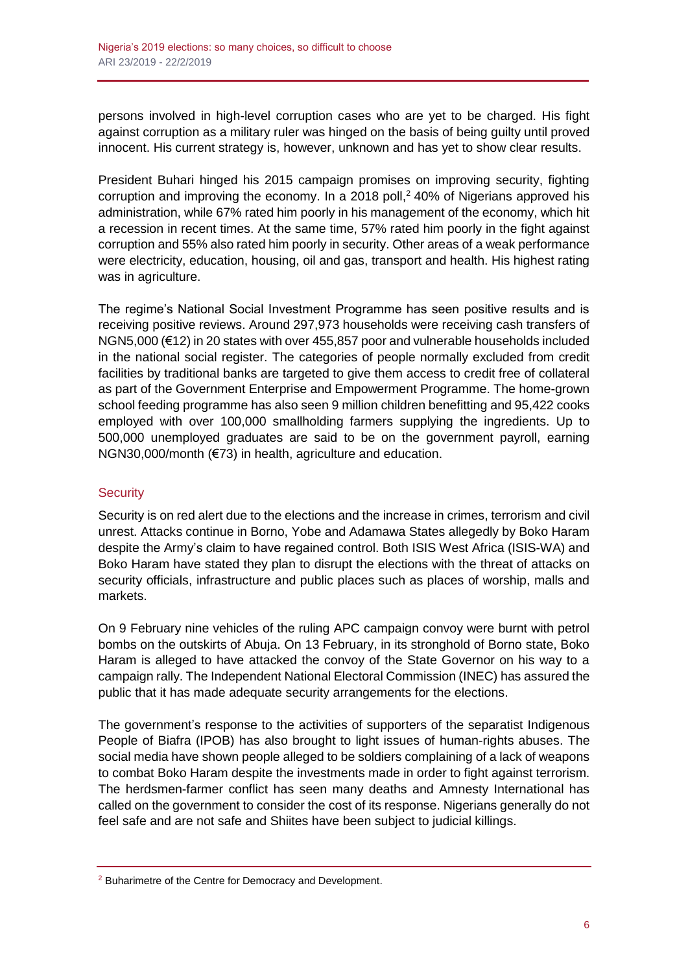persons involved in high-level corruption cases who are yet to be charged. His fight against corruption as a military ruler was hinged on the basis of being guilty until proved innocent. His current strategy is, however, unknown and has yet to show clear results.

President Buhari hinged his 2015 campaign promises on improving security, fighting corruption and improving the economy. In a 2018 poll, <sup>2</sup> 40% of Nigerians approved his administration, while 67% rated him poorly in his management of the economy, which hit a recession in recent times. At the same time, 57% rated him poorly in the fight against corruption and 55% also rated him poorly in security. Other areas of a weak performance were electricity, education, housing, oil and gas, transport and health. His highest rating was in agriculture.

The regime's National Social Investment Programme has seen positive results and is receiving positive reviews. Around 297,973 households were receiving cash transfers of NGN5,000 (€12) in 20 states with over 455,857 poor and vulnerable households included in the national social register. The categories of people normally excluded from credit facilities by traditional banks are targeted to give them access to credit free of collateral as part of the Government Enterprise and Empowerment Programme. The home-grown school feeding programme has also seen 9 million children benefitting and 95,422 cooks employed with over 100,000 smallholding farmers supplying the ingredients. Up to 500,000 unemployed graduates are said to be on the government payroll, earning NGN30,000/month (€73) in health, agriculture and education.

## **Security**

Security is on red alert due to the elections and the increase in crimes, terrorism and civil unrest. Attacks continue in Borno, Yobe and Adamawa States allegedly by Boko Haram despite the Army's claim to have regained control. Both ISIS West Africa (ISIS-WA) and Boko Haram have stated they plan to disrupt the elections with the threat of attacks on security officials, infrastructure and public places such as places of worship, malls and markets.

On 9 February nine vehicles of the ruling APC campaign convoy were burnt with petrol bombs on the outskirts of Abuja. On 13 February, in its stronghold of Borno state, Boko Haram is alleged to have attacked the convoy of the State Governor on his way to a campaign rally. The Independent National Electoral Commission (INEC) has assured the public that it has made adequate security arrangements for the elections.

The government's response to the activities of supporters of the separatist Indigenous People of Biafra (IPOB) has also brought to light issues of human-rights abuses. The social media have shown people alleged to be soldiers complaining of a lack of weapons to combat Boko Haram despite the investments made in order to fight against terrorism. The herdsmen-farmer conflict has seen many deaths and Amnesty International has called on the government to consider the cost of its response. Nigerians generally do not feel safe and are not safe and Shiites have been subject to judicial killings.

<sup>2</sup> Buharimetre of the Centre for Democracy and Development.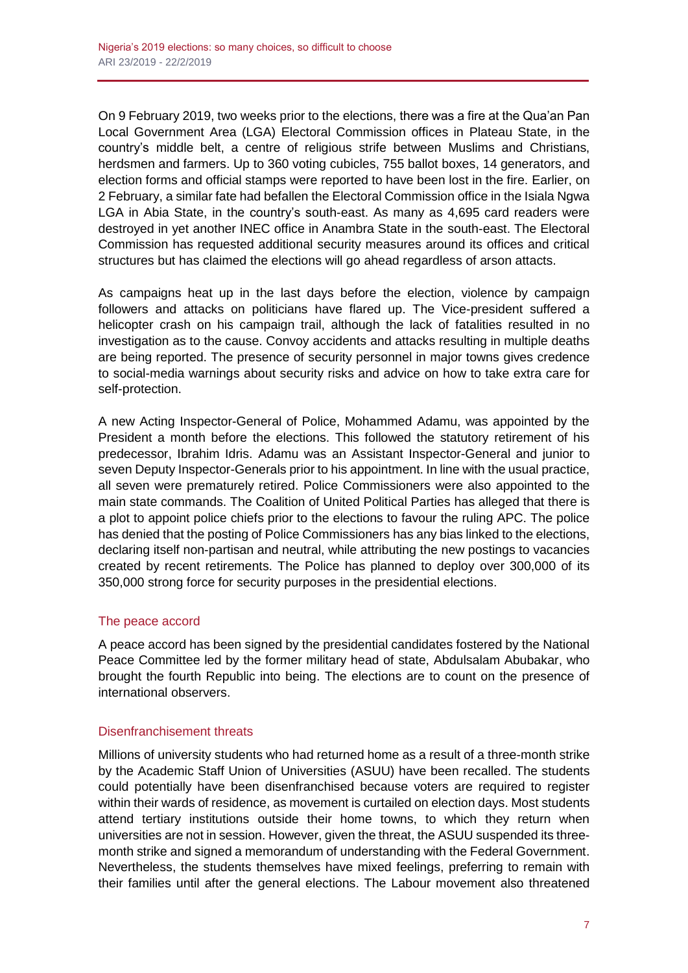On 9 February 2019, two weeks prior to the elections, there was a fire at the Qua'an Pan Local Government Area (LGA) Electoral Commission offices in Plateau State, in the country's middle belt, a centre of religious strife between Muslims and Christians, herdsmen and farmers. Up to 360 voting cubicles, 755 ballot boxes, 14 generators, and election forms and official stamps were reported to have been lost in the fire. Earlier, on 2 February, a similar fate had befallen the Electoral Commission office in the Isiala Ngwa LGA in Abia State, in the country's south-east. As many as 4,695 card readers were destroyed in yet another INEC office in Anambra State in the south-east. The Electoral Commission has requested additional security measures around its offices and critical structures but has claimed the elections will go ahead regardless of arson attacts.

As campaigns heat up in the last days before the election, violence by campaign followers and attacks on politicians have flared up. The Vice-president suffered a helicopter crash on his campaign trail, although the lack of fatalities resulted in no investigation as to the cause. Convoy accidents and attacks resulting in multiple deaths are being reported. The presence of security personnel in major towns gives credence to social-media warnings about security risks and advice on how to take extra care for self-protection.

A new Acting Inspector-General of Police, Mohammed Adamu, was appointed by the President a month before the elections. This followed the statutory retirement of his predecessor, Ibrahim Idris. Adamu was an Assistant Inspector-General and junior to seven Deputy Inspector-Generals prior to his appointment. In line with the usual practice, all seven were prematurely retired. Police Commissioners were also appointed to the main state commands. The Coalition of United Political Parties has alleged that there is a plot to appoint police chiefs prior to the elections to favour the ruling APC. The police has denied that the posting of Police Commissioners has any bias linked to the elections, declaring itself non-partisan and neutral, while attributing the new postings to vacancies created by recent retirements. The Police has planned to deploy over 300,000 of its 350,000 strong force for security purposes in the presidential elections.

### The peace accord

A peace accord has been signed by the presidential candidates fostered by the National Peace Committee led by the former military head of state, Abdulsalam Abubakar, who brought the fourth Republic into being. The elections are to count on the presence of international observers.

### Disenfranchisement threats

Millions of university students who had returned home as a result of a three-month strike by the Academic Staff Union of Universities (ASUU) have been recalled. The students could potentially have been disenfranchised because voters are required to register within their wards of residence, as movement is curtailed on election days. Most students attend tertiary institutions outside their home towns, to which they return when universities are not in session. However, given the threat, the ASUU suspended its threemonth strike and signed a memorandum of understanding with the Federal Government. Nevertheless, the students themselves have mixed feelings, preferring to remain with their families until after the general elections. The Labour movement also threatened